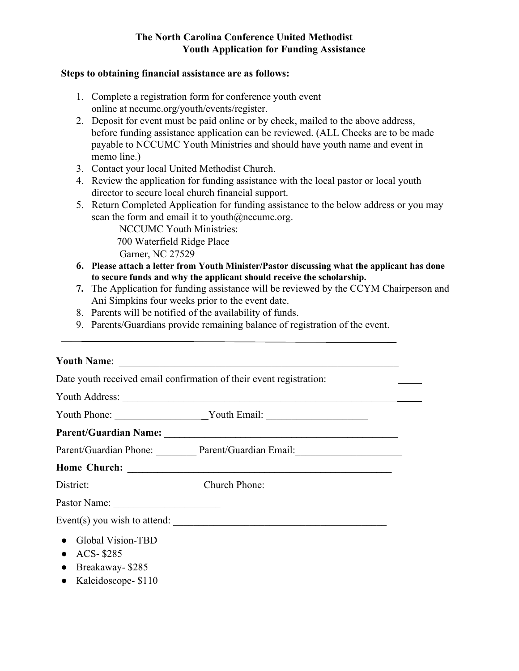## **The North Carolina Conference United Methodist Youth Application for Funding Assistance**

## **Steps to obtaining financial assistance are as follows:**

- 1. Complete a registration form for conference youth event online at nccumc.org/youth/events/register.
- 2. Deposit for event must be paid online or by check, mailed to the above address, before funding assistance application can be reviewed. (ALL Checks are to be made payable to NCCUMC Youth Ministries and should have youth name and event in memo line.)
- 3. Contact your local United Methodist Church.
- 4. Review the application for funding assistance with the local pastor or local youth director to secure local church financial support.
- 5. Return Completed Application for funding assistance to the below address or you may scan the form and email it to youth $@n$ ccumc.org.

NCCUMC Youth Ministries: 700 Waterfield Ridge Place Garner, NC 27529

- **6. Please attach a letter from Youth Minister/Pastor discussing what the applicant has done to secure funds and why the applicant should receive the scholarship.**
- **7.** The Application for funding assistance will be reviewed by the CCYM Chairperson and Ani Simpkins four weeks prior to the event date.
- 8. Parents will be notified of the availability of funds.
- 9. Parents/Guardians provide remaining balance of registration of the event.

## **Youth Name**: \_\_\_\_\_\_\_\_\_\_\_\_\_\_\_\_\_\_\_\_\_\_\_\_\_\_\_\_\_\_\_\_\_\_\_\_\_\_\_\_\_\_\_\_\_\_\_\_\_\_\_\_\_\_\_

Date youth received email confirmation of their event registration:

| Youth Address:                                                  |                                                                                                                      |
|-----------------------------------------------------------------|----------------------------------------------------------------------------------------------------------------------|
|                                                                 | Youth Phone: ___________________________Youth Email: ___________________________                                     |
| <b>Parent/Guardian Name:</b>                                    | <u> 1989 - Andrea Station Barbara, politik a politik (h. 1989)</u>                                                   |
|                                                                 | Parent/Guardian Phone: Parent/Guardian Email: 2008. [2013] Parent/Guardian Email:                                    |
| Home Church:                                                    | <u> 1989 - Johann Stein, mars an deutscher Stein und der Stein und der Stein und der Stein und der Stein und der</u> |
| District:                                                       | Church Phone:                                                                                                        |
| Pastor Name:<br><u> 1980 - Andrea Maria Alemania (h. 1980).</u> |                                                                                                                      |
|                                                                 | Event(s) you wish to attend: $\frac{1}{2}$                                                                           |
| <b>Global Vision-TBD</b><br>ACS-\$285<br>$\bullet$              |                                                                                                                      |

- Breakaway- \$285
- Kaleidoscope- \$110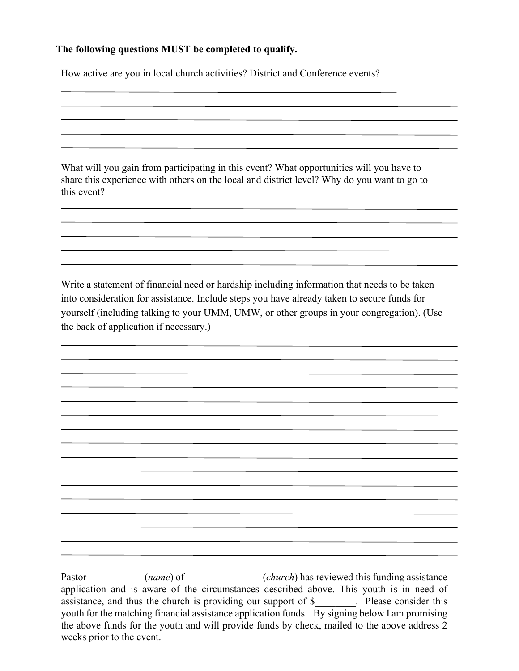## **The following questions MUST be completed to qualify.**

How active are you in local church activities? District and Conference events?

What will you gain from participating in this event? What opportunities will you have to share this experience with others on the local and district level? Why do you want to go to this event?

Write a statement of financial need or hardship including information that needs to be taken into consideration for assistance. Include steps you have already taken to secure funds for yourself (including talking to your UMM, UMW, or other groups in your congregation). (Use the back of application if necessary.)

Pastor (*name*) of (*church*) has reviewed this funding assistance application and is aware of the circumstances described above. This youth is in need of assistance, and thus the church is providing our support of \$\_\_\_\_\_\_\_\_. Please consider this youth for the matching financial assistance application funds. By signing below I am promising the above funds for the youth and will provide funds by check, mailed to the above address 2 weeks prior to the event.